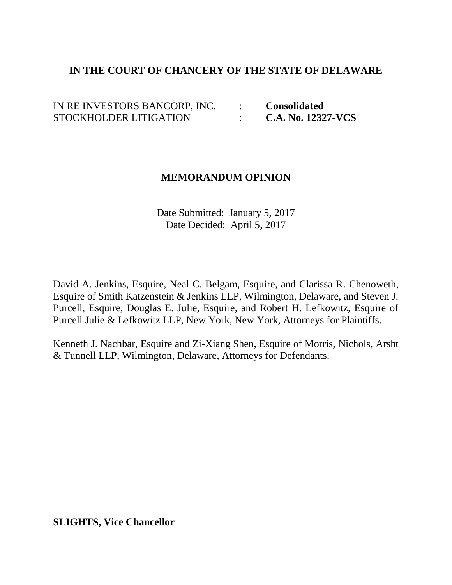## **IN THE COURT OF CHANCERY OF THE STATE OF DELAWARE**

IN RE INVESTORS BANCORP, INC. : **Consolidated** STOCKHOLDER LITIGATION : **C.A. No. 12327-VCS**

## **MEMORANDUM OPINION**

Date Submitted: January 5, 2017 Date Decided: April 5, 2017

David A. Jenkins, Esquire, Neal C. Belgam, Esquire, and Clarissa R. Chenoweth, Esquire of Smith Katzenstein & Jenkins LLP, Wilmington, Delaware, and Steven J. Purcell, Esquire, Douglas E. Julie, Esquire, and Robert H. Lefkowitz, Esquire of Purcell Julie & Lefkowitz LLP, New York, New York, Attorneys for Plaintiffs.

Kenneth J. Nachbar, Esquire and Zi-Xiang Shen, Esquire of Morris, Nichols, Arsht & Tunnell LLP, Wilmington, Delaware, Attorneys for Defendants.

**SLIGHTS, Vice Chancellor**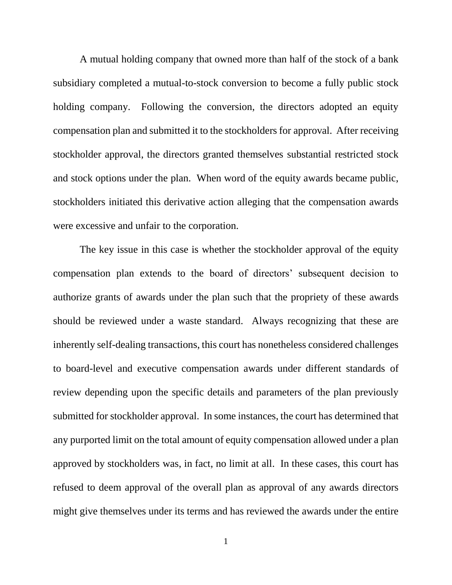A mutual holding company that owned more than half of the stock of a bank subsidiary completed a mutual-to-stock conversion to become a fully public stock holding company. Following the conversion, the directors adopted an equity compensation plan and submitted it to the stockholders for approval. After receiving stockholder approval, the directors granted themselves substantial restricted stock and stock options under the plan. When word of the equity awards became public, stockholders initiated this derivative action alleging that the compensation awards were excessive and unfair to the corporation.

The key issue in this case is whether the stockholder approval of the equity compensation plan extends to the board of directors' subsequent decision to authorize grants of awards under the plan such that the propriety of these awards should be reviewed under a waste standard. Always recognizing that these are inherently self-dealing transactions, this court has nonetheless considered challenges to board-level and executive compensation awards under different standards of review depending upon the specific details and parameters of the plan previously submitted for stockholder approval. In some instances, the court has determined that any purported limit on the total amount of equity compensation allowed under a plan approved by stockholders was, in fact, no limit at all. In these cases, this court has refused to deem approval of the overall plan as approval of any awards directors might give themselves under its terms and has reviewed the awards under the entire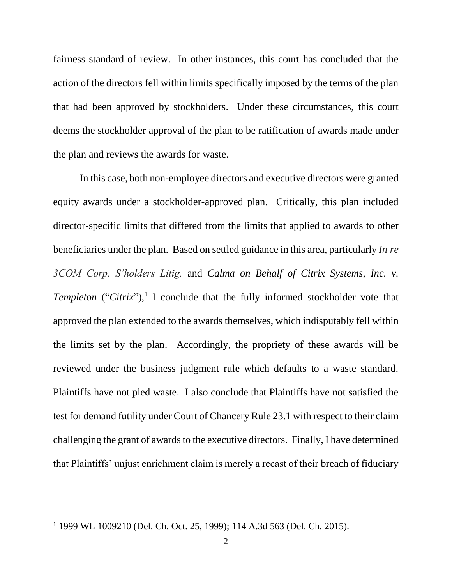fairness standard of review. In other instances, this court has concluded that the action of the directors fell within limits specifically imposed by the terms of the plan that had been approved by stockholders. Under these circumstances, this court deems the stockholder approval of the plan to be ratification of awards made under the plan and reviews the awards for waste.

In this case, both non-employee directors and executive directors were granted equity awards under a stockholder-approved plan. Critically, this plan included director-specific limits that differed from the limits that applied to awards to other beneficiaries under the plan. Based on settled guidance in this area, particularly *In re 3COM Corp. S'holders Litig.* and *Calma on Behalf of Citrix Systems*, *Inc. v. Templeton* ("*Citrix*"), 1 I conclude that the fully informed stockholder vote that approved the plan extended to the awards themselves, which indisputably fell within the limits set by the plan. Accordingly, the propriety of these awards will be reviewed under the business judgment rule which defaults to a waste standard. Plaintiffs have not pled waste. I also conclude that Plaintiffs have not satisfied the test for demand futility under Court of Chancery Rule 23.1 with respect to their claim challenging the grant of awards to the executive directors. Finally, I have determined that Plaintiffs' unjust enrichment claim is merely a recast of their breach of fiduciary

<sup>1</sup> 1999 WL 1009210 (Del. Ch. Oct. 25, 1999); 114 A.3d 563 (Del. Ch. 2015).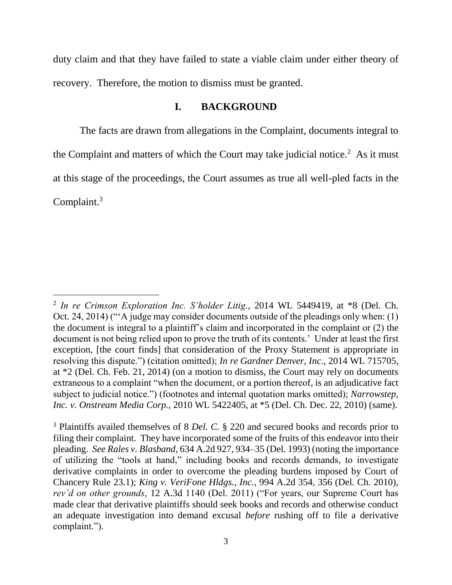duty claim and that they have failed to state a viable claim under either theory of recovery. Therefore, the motion to dismiss must be granted.

## **I. BACKGROUND**

The facts are drawn from allegations in the Complaint, documents integral to the Complaint and matters of which the Court may take judicial notice.<sup>2</sup> As it must at this stage of the proceedings, the Court assumes as true all well-pled facts in the Complaint.<sup>3</sup>

<sup>2</sup> *In re Crimson Exploration Inc. S'holder Litig.*, 2014 WL 5449419, at \*8 (Del. Ch. Oct. 24, 2014) ("'A judge may consider documents outside of the pleadings only when: (1) the document is integral to a plaintiff's claim and incorporated in the complaint or (2) the document is not being relied upon to prove the truth of its contents.' Under at least the first exception, [the court finds] that consideration of the Proxy Statement is appropriate in resolving this dispute.") (citation omitted); *In re Gardner Denver, Inc.*, 2014 WL 715705, at \*2 (Del. Ch. Feb. 21, 2014) (on a motion to dismiss, the Court may rely on documents extraneous to a complaint "when the document, or a portion thereof, is an adjudicative fact subject to judicial notice.") (footnotes and internal quotation marks omitted); *Narrowstep, Inc. v. Onstream Media Corp.*, 2010 WL 5422405, at \*5 (Del. Ch. Dec. 22, 2010) (same).

<sup>3</sup> Plaintiffs availed themselves of 8 *Del. C.* § 220 and secured books and records prior to filing their complaint. They have incorporated some of the fruits of this endeavor into their pleading. *See Rales v. Blasband*, 634 A.2d 927, 934–35 (Del. 1993) (noting the importance of utilizing the "tools at hand," including books and records demands, to investigate derivative complaints in order to overcome the pleading burdens imposed by Court of Chancery Rule 23.1); *King v. VeriFone Hldgs., Inc.*, 994 A.2d 354, 356 (Del. Ch. 2010), *rev'd on other grounds*, 12 A.3d 1140 (Del. 2011) ("For years, our Supreme Court has made clear that derivative plaintiffs should seek books and records and otherwise conduct an adequate investigation into demand excusal *before* rushing off to file a derivative complaint.").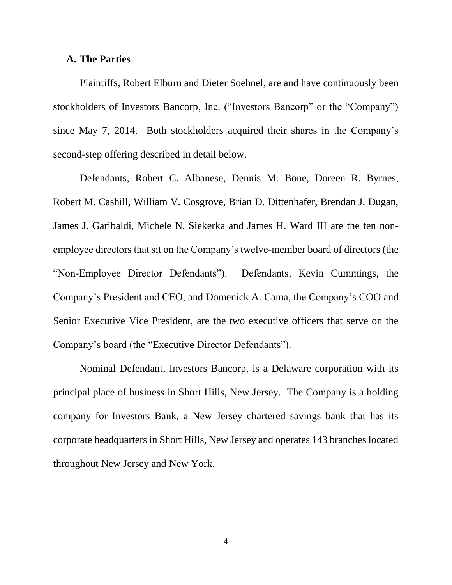#### **A. The Parties**

Plaintiffs, Robert Elburn and Dieter Soehnel, are and have continuously been stockholders of Investors Bancorp, Inc. ("Investors Bancorp" or the "Company") since May 7, 2014. Both stockholders acquired their shares in the Company's second-step offering described in detail below.

Defendants, Robert C. Albanese, Dennis M. Bone, Doreen R. Byrnes, Robert M. Cashill, William V. Cosgrove, Brian D. Dittenhafer, Brendan J. Dugan, James J. Garibaldi, Michele N. Siekerka and James H. Ward III are the ten nonemployee directors that sit on the Company's twelve-member board of directors (the "Non-Employee Director Defendants"). Defendants, Kevin Cummings, the Company's President and CEO, and Domenick A. Cama, the Company's COO and Senior Executive Vice President, are the two executive officers that serve on the Company's board (the "Executive Director Defendants").

Nominal Defendant, Investors Bancorp, is a Delaware corporation with its principal place of business in Short Hills, New Jersey. The Company is a holding company for Investors Bank, a New Jersey chartered savings bank that has its corporate headquarters in Short Hills, New Jersey and operates 143 branches located throughout New Jersey and New York.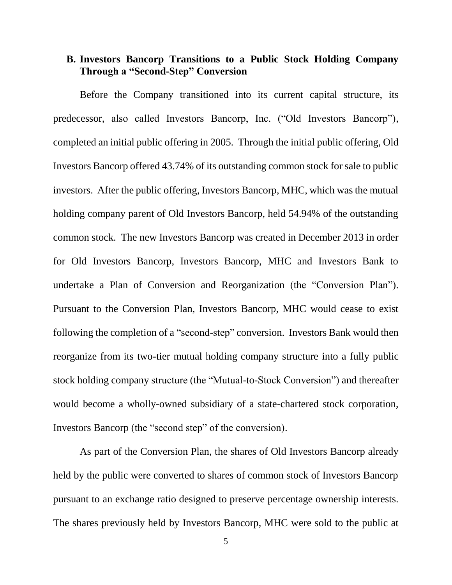## **B. Investors Bancorp Transitions to a Public Stock Holding Company Through a "Second-Step" Conversion**

Before the Company transitioned into its current capital structure, its predecessor, also called Investors Bancorp, Inc. ("Old Investors Bancorp"), completed an initial public offering in 2005. Through the initial public offering, Old Investors Bancorp offered 43.74% of its outstanding common stock for sale to public investors. After the public offering, Investors Bancorp, MHC, which was the mutual holding company parent of Old Investors Bancorp, held 54.94% of the outstanding common stock. The new Investors Bancorp was created in December 2013 in order for Old Investors Bancorp, Investors Bancorp, MHC and Investors Bank to undertake a Plan of Conversion and Reorganization (the "Conversion Plan"). Pursuant to the Conversion Plan, Investors Bancorp, MHC would cease to exist following the completion of a "second-step" conversion. Investors Bank would then reorganize from its two-tier mutual holding company structure into a fully public stock holding company structure (the "Mutual-to-Stock Conversion") and thereafter would become a wholly-owned subsidiary of a state-chartered stock corporation, Investors Bancorp (the "second step" of the conversion).

As part of the Conversion Plan, the shares of Old Investors Bancorp already held by the public were converted to shares of common stock of Investors Bancorp pursuant to an exchange ratio designed to preserve percentage ownership interests. The shares previously held by Investors Bancorp, MHC were sold to the public at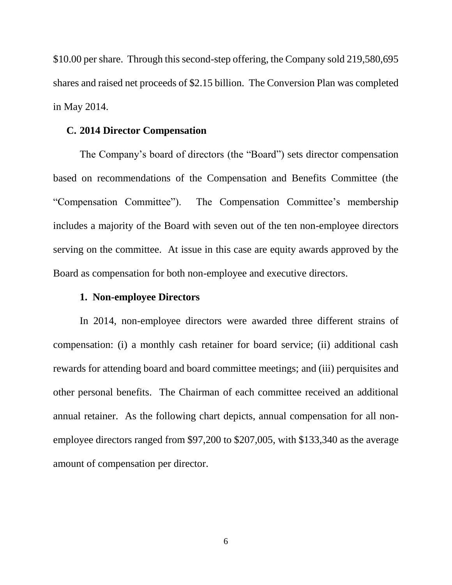\$10.00 per share. Through this second-step offering, the Company sold 219,580,695 shares and raised net proceeds of \$2.15 billion. The Conversion Plan was completed in May 2014.

### **C. 2014 Director Compensation**

The Company's board of directors (the "Board") sets director compensation based on recommendations of the Compensation and Benefits Committee (the "Compensation Committee"). The Compensation Committee's membership includes a majority of the Board with seven out of the ten non-employee directors serving on the committee. At issue in this case are equity awards approved by the Board as compensation for both non-employee and executive directors.

### **1. Non-employee Directors**

In 2014, non-employee directors were awarded three different strains of compensation: (i) a monthly cash retainer for board service; (ii) additional cash rewards for attending board and board committee meetings; and (iii) perquisites and other personal benefits. The Chairman of each committee received an additional annual retainer. As the following chart depicts, annual compensation for all nonemployee directors ranged from \$97,200 to \$207,005, with \$133,340 as the average amount of compensation per director.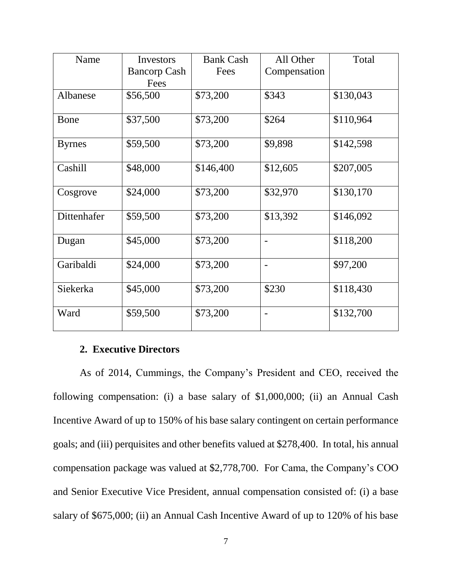| Name          | Investors           | <b>Bank Cash</b> | All Other                    | Total     |
|---------------|---------------------|------------------|------------------------------|-----------|
|               | <b>Bancorp Cash</b> | Fees             | Compensation                 |           |
|               | Fees                |                  |                              |           |
| Albanese      | \$56,500            | \$73,200         | \$343                        | \$130,043 |
| Bone          | \$37,500            | \$73,200         | \$264                        | \$110,964 |
| <b>Byrnes</b> | \$59,500            | \$73,200         | \$9,898                      | \$142,598 |
| Cashill       | \$48,000            | \$146,400        | \$12,605                     | \$207,005 |
| Cosgrove      | \$24,000            | \$73,200         | \$32,970                     | \$130,170 |
| Dittenhafer   | \$59,500            | \$73,200         | \$13,392                     | \$146,092 |
| Dugan         | \$45,000            | \$73,200         |                              | \$118,200 |
| Garibaldi     | \$24,000            | \$73,200         | $\qquad \qquad \blacksquare$ | \$97,200  |
| Siekerka      | \$45,000            | \$73,200         | \$230                        | \$118,430 |
| Ward          | \$59,500            | \$73,200         | -                            | \$132,700 |

# **2. Executive Directors**

As of 2014, Cummings, the Company's President and CEO, received the following compensation: (i) a base salary of \$1,000,000; (ii) an Annual Cash Incentive Award of up to 150% of his base salary contingent on certain performance goals; and (iii) perquisites and other benefits valued at \$278,400. In total, his annual compensation package was valued at \$2,778,700. For Cama, the Company's COO and Senior Executive Vice President, annual compensation consisted of: (i) a base salary of \$675,000; (ii) an Annual Cash Incentive Award of up to 120% of his base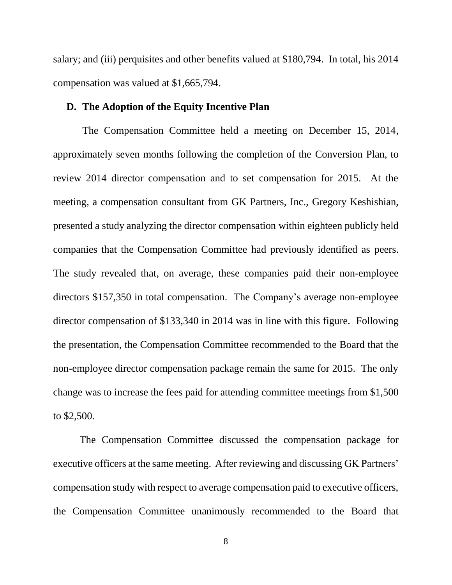salary; and (iii) perquisites and other benefits valued at \$180,794. In total, his 2014 compensation was valued at \$1,665,794.

### **D. The Adoption of the Equity Incentive Plan**

The Compensation Committee held a meeting on December 15, 2014, approximately seven months following the completion of the Conversion Plan, to review 2014 director compensation and to set compensation for 2015. At the meeting, a compensation consultant from GK Partners, Inc., Gregory Keshishian, presented a study analyzing the director compensation within eighteen publicly held companies that the Compensation Committee had previously identified as peers. The study revealed that, on average, these companies paid their non-employee directors \$157,350 in total compensation. The Company's average non-employee director compensation of \$133,340 in 2014 was in line with this figure. Following the presentation, the Compensation Committee recommended to the Board that the non-employee director compensation package remain the same for 2015. The only change was to increase the fees paid for attending committee meetings from \$1,500 to \$2,500.

The Compensation Committee discussed the compensation package for executive officers at the same meeting. After reviewing and discussing GK Partners' compensation study with respect to average compensation paid to executive officers, the Compensation Committee unanimously recommended to the Board that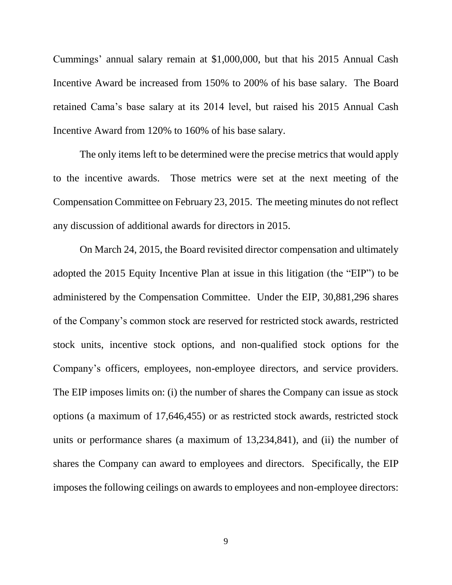Cummings' annual salary remain at \$1,000,000, but that his 2015 Annual Cash Incentive Award be increased from 150% to 200% of his base salary. The Board retained Cama's base salary at its 2014 level, but raised his 2015 Annual Cash Incentive Award from 120% to 160% of his base salary.

The only items left to be determined were the precise metrics that would apply to the incentive awards. Those metrics were set at the next meeting of the Compensation Committee on February 23, 2015. The meeting minutes do not reflect any discussion of additional awards for directors in 2015.

On March 24, 2015, the Board revisited director compensation and ultimately adopted the 2015 Equity Incentive Plan at issue in this litigation (the "EIP") to be administered by the Compensation Committee. Under the EIP, 30,881,296 shares of the Company's common stock are reserved for restricted stock awards, restricted stock units, incentive stock options, and non-qualified stock options for the Company's officers, employees, non-employee directors, and service providers. The EIP imposes limits on: (i) the number of shares the Company can issue as stock options (a maximum of 17,646,455) or as restricted stock awards, restricted stock units or performance shares (a maximum of 13,234,841), and (ii) the number of shares the Company can award to employees and directors. Specifically, the EIP imposes the following ceilings on awards to employees and non-employee directors: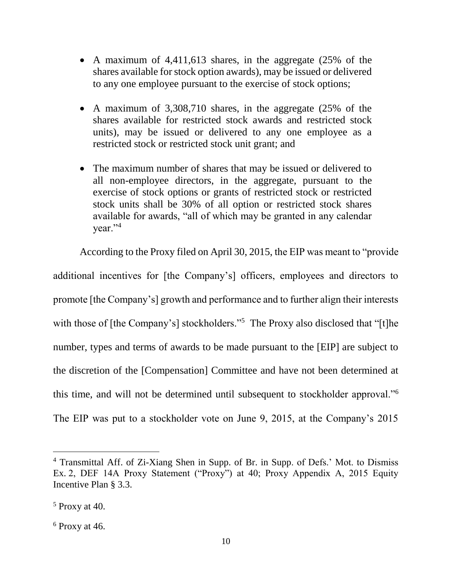- A maximum of 4,411,613 shares, in the aggregate (25% of the shares available for stock option awards), may be issued or delivered to any one employee pursuant to the exercise of stock options;
- A maximum of 3,308,710 shares, in the aggregate (25% of the shares available for restricted stock awards and restricted stock units), may be issued or delivered to any one employee as a restricted stock or restricted stock unit grant; and
- The maximum number of shares that may be issued or delivered to all non-employee directors, in the aggregate, pursuant to the exercise of stock options or grants of restricted stock or restricted stock units shall be 30% of all option or restricted stock shares available for awards, "all of which may be granted in any calendar year."<sup>4</sup>

According to the Proxy filed on April 30, 2015, the EIP was meant to "provide additional incentives for [the Company's] officers, employees and directors to promote [the Company's] growth and performance and to further align their interests with those of [the Company's] stockholders."<sup>5</sup> The Proxy also disclosed that "[t]he number, types and terms of awards to be made pursuant to the [EIP] are subject to the discretion of the [Compensation] Committee and have not been determined at this time, and will not be determined until subsequent to stockholder approval."<sup>6</sup> The EIP was put to a stockholder vote on June 9, 2015, at the Company's 2015

<sup>&</sup>lt;sup>4</sup> Transmittal Aff. of Zi-Xiang Shen in Supp. of Br. in Supp. of Defs.' Mot. to Dismiss Ex. 2, DEF 14A Proxy Statement ("Proxy") at 40; Proxy Appendix A, 2015 Equity Incentive Plan § 3.3.

<sup>5</sup> Proxy at 40.

 $6$  Proxy at 46.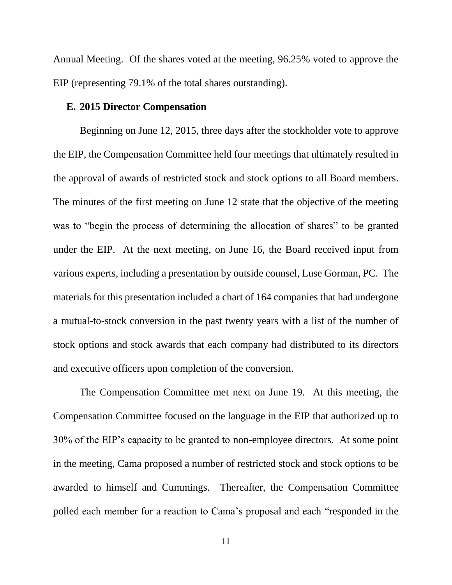Annual Meeting. Of the shares voted at the meeting, 96.25% voted to approve the EIP (representing 79.1% of the total shares outstanding).

### **E. 2015 Director Compensation**

Beginning on June 12, 2015, three days after the stockholder vote to approve the EIP, the Compensation Committee held four meetings that ultimately resulted in the approval of awards of restricted stock and stock options to all Board members. The minutes of the first meeting on June 12 state that the objective of the meeting was to "begin the process of determining the allocation of shares" to be granted under the EIP. At the next meeting, on June 16, the Board received input from various experts, including a presentation by outside counsel, Luse Gorman, PC. The materials for this presentation included a chart of 164 companies that had undergone a mutual-to-stock conversion in the past twenty years with a list of the number of stock options and stock awards that each company had distributed to its directors and executive officers upon completion of the conversion.

The Compensation Committee met next on June 19. At this meeting, the Compensation Committee focused on the language in the EIP that authorized up to 30% of the EIP's capacity to be granted to non-employee directors. At some point in the meeting, Cama proposed a number of restricted stock and stock options to be awarded to himself and Cummings. Thereafter, the Compensation Committee polled each member for a reaction to Cama's proposal and each "responded in the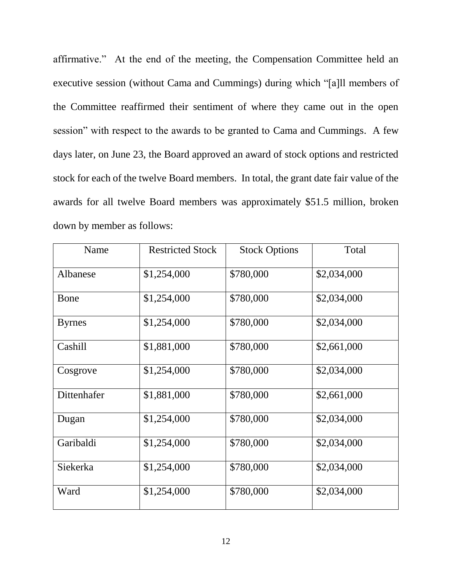affirmative." At the end of the meeting, the Compensation Committee held an executive session (without Cama and Cummings) during which "[a]ll members of the Committee reaffirmed their sentiment of where they came out in the open session" with respect to the awards to be granted to Cama and Cummings. A few days later, on June 23, the Board approved an award of stock options and restricted stock for each of the twelve Board members. In total, the grant date fair value of the awards for all twelve Board members was approximately \$51.5 million, broken down by member as follows:

| Name          | <b>Restricted Stock</b> | <b>Stock Options</b> | Total       |
|---------------|-------------------------|----------------------|-------------|
| Albanese      | \$1,254,000             | \$780,000            | \$2,034,000 |
| Bone          | \$1,254,000             | \$780,000            | \$2,034,000 |
| <b>Byrnes</b> | \$1,254,000             | \$780,000            | \$2,034,000 |
| Cashill       | \$1,881,000             | \$780,000            | \$2,661,000 |
| Cosgrove      | \$1,254,000             | \$780,000            | \$2,034,000 |
| Dittenhafer   | \$1,881,000             | \$780,000            | \$2,661,000 |
| Dugan         | \$1,254,000             | \$780,000            | \$2,034,000 |
| Garibaldi     | \$1,254,000             | \$780,000            | \$2,034,000 |
| Siekerka      | \$1,254,000             | \$780,000            | \$2,034,000 |
| Ward          | \$1,254,000             | \$780,000            | \$2,034,000 |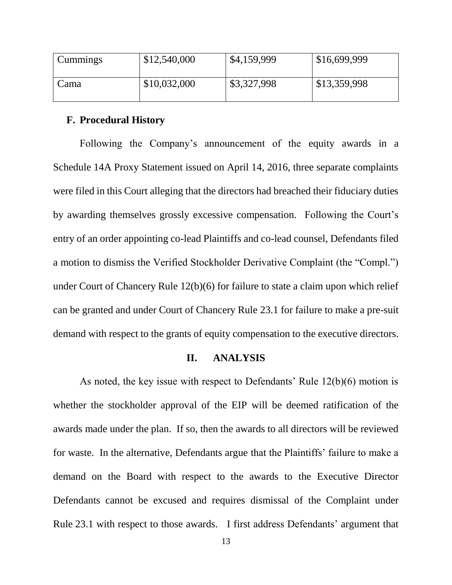| Cummings | \$12,540,000 | \$4,159,999 | \$16,699,999 |
|----------|--------------|-------------|--------------|
| Cama     | \$10,032,000 | \$3,327,998 | \$13,359,998 |

#### **F. Procedural History**

Following the Company's announcement of the equity awards in a Schedule 14A Proxy Statement issued on April 14, 2016, three separate complaints were filed in this Court alleging that the directors had breached their fiduciary duties by awarding themselves grossly excessive compensation. Following the Court's entry of an order appointing co-lead Plaintiffs and co-lead counsel, Defendants filed a motion to dismiss the Verified Stockholder Derivative Complaint (the "Compl.") under Court of Chancery Rule 12(b)(6) for failure to state a claim upon which relief can be granted and under Court of Chancery Rule 23.1 for failure to make a pre-suit demand with respect to the grants of equity compensation to the executive directors.

### **II. ANALYSIS**

As noted, the key issue with respect to Defendants' Rule 12(b)(6) motion is whether the stockholder approval of the EIP will be deemed ratification of the awards made under the plan. If so, then the awards to all directors will be reviewed for waste. In the alternative, Defendants argue that the Plaintiffs' failure to make a demand on the Board with respect to the awards to the Executive Director Defendants cannot be excused and requires dismissal of the Complaint under Rule 23.1 with respect to those awards. I first address Defendants' argument that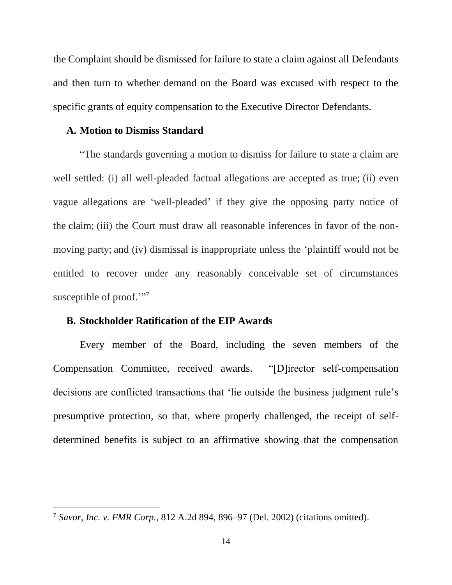the Complaint should be dismissed for failure to state a claim against all Defendants and then turn to whether demand on the Board was excused with respect to the specific grants of equity compensation to the Executive Director Defendants.

### **A. Motion to Dismiss Standard**

"The standards governing a motion to dismiss for failure to state a claim are well settled: (i) all well-pleaded factual allegations are accepted as true; (ii) even vague allegations are 'well-pleaded' if they give the opposing party notice of the claim; (iii) the Court must draw all reasonable inferences in favor of the nonmoving party; and (iv) dismissal is inappropriate unless the 'plaintiff would not be entitled to recover under any reasonably conceivable set of circumstances susceptible of proof."<sup>7</sup>

### **B. Stockholder Ratification of the EIP Awards**

 $\overline{a}$ 

Every member of the Board, including the seven members of the Compensation Committee, received awards. "[D]irector self-compensation decisions are conflicted transactions that 'lie outside the business judgment rule's presumptive protection, so that, where properly challenged, the receipt of selfdetermined benefits is subject to an affirmative showing that the compensation

<sup>7</sup> *Savor, Inc. v. FMR Corp.*, 812 A.2d 894, 896–97 (Del. 2002) (citations omitted).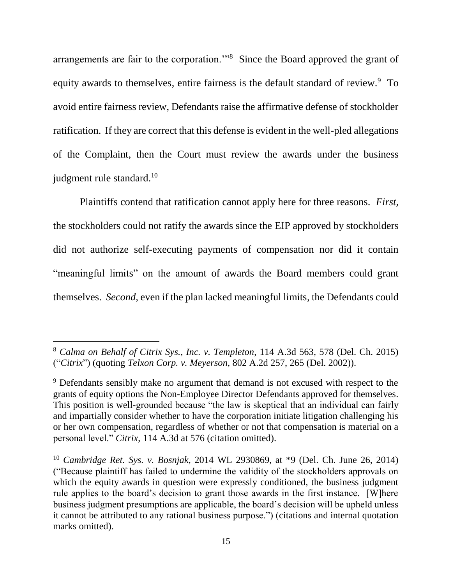arrangements are fair to the corporation."<sup>8</sup> Since the Board approved the grant of equity awards to themselves, entire fairness is the default standard of review.<sup>9</sup> To avoid entire fairness review, Defendants raise the affirmative defense of stockholder ratification. If they are correct that this defense is evident in the well-pled allegations of the Complaint, then the Court must review the awards under the business judgment rule standard.<sup>10</sup>

Plaintiffs contend that ratification cannot apply here for three reasons. *First*, the stockholders could not ratify the awards since the EIP approved by stockholders did not authorize self-executing payments of compensation nor did it contain "meaningful limits" on the amount of awards the Board members could grant themselves. *Second*, even if the plan lacked meaningful limits, the Defendants could

<sup>8</sup> *Calma on Behalf of Citrix Sys., Inc. v. Templeton*, 114 A.3d 563, 578 (Del. Ch. 2015) ("*Citrix*") (quoting *Telxon Corp. v. Meyerson*, 802 A.2d 257, 265 (Del. 2002)).

<sup>9</sup> Defendants sensibly make no argument that demand is not excused with respect to the grants of equity options the Non-Employee Director Defendants approved for themselves. This position is well-grounded because "the law is skeptical that an individual can fairly and impartially consider whether to have the corporation initiate litigation challenging his or her own compensation, regardless of whether or not that compensation is material on a personal level." *Citrix*, 114 A.3d at 576 (citation omitted).

<sup>10</sup> *Cambridge Ret. Sys. v. Bosnjak*, 2014 WL 2930869, at \*9 (Del. Ch. June 26, 2014) ("Because plaintiff has failed to undermine the validity of the stockholders approvals on which the equity awards in question were expressly conditioned, the business judgment rule applies to the board's decision to grant those awards in the first instance. [W]here business judgment presumptions are applicable, the board's decision will be upheld unless it cannot be attributed to any rational business purpose.") (citations and internal quotation marks omitted).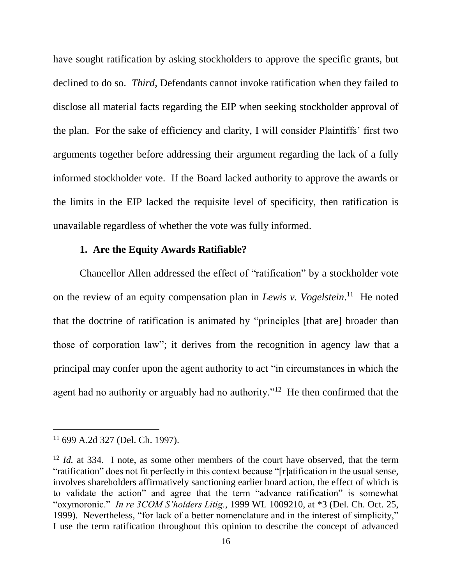have sought ratification by asking stockholders to approve the specific grants, but declined to do so. *Third*, Defendants cannot invoke ratification when they failed to disclose all material facts regarding the EIP when seeking stockholder approval of the plan. For the sake of efficiency and clarity, I will consider Plaintiffs' first two arguments together before addressing their argument regarding the lack of a fully informed stockholder vote. If the Board lacked authority to approve the awards or the limits in the EIP lacked the requisite level of specificity, then ratification is unavailable regardless of whether the vote was fully informed.

## **1. Are the Equity Awards Ratifiable?**

Chancellor Allen addressed the effect of "ratification" by a stockholder vote on the review of an equity compensation plan in *Lewis v. Vogelstein*.<sup>11</sup> He noted that the doctrine of ratification is animated by "principles [that are] broader than those of corporation law"; it derives from the recognition in agency law that a principal may confer upon the agent authority to act "in circumstances in which the agent had no authority or arguably had no authority."<sup>12</sup> He then confirmed that the

 $11$  699 A.2d 327 (Del. Ch. 1997).

<sup>&</sup>lt;sup>12</sup> *Id.* at 334. I note, as some other members of the court have observed, that the term "ratification" does not fit perfectly in this context because "[r]atification in the usual sense, involves shareholders affirmatively sanctioning earlier board action, the effect of which is to validate the action" and agree that the term "advance ratification" is somewhat "oxymoronic." *In re 3COM S'holders Litig.*, 1999 WL 1009210, at \*3 (Del. Ch. Oct. 25, 1999). Nevertheless, "for lack of a better nomenclature and in the interest of simplicity," I use the term ratification throughout this opinion to describe the concept of advanced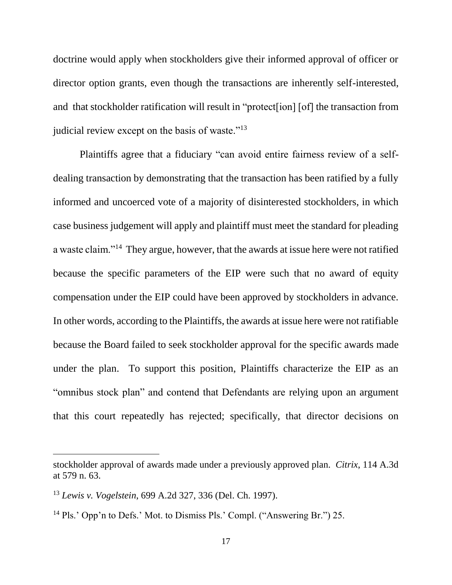doctrine would apply when stockholders give their informed approval of officer or director option grants, even though the transactions are inherently self-interested, and that stockholder ratification will result in "protect[ion] [of] the transaction from judicial review except on the basis of waste."<sup>13</sup>

Plaintiffs agree that a fiduciary "can avoid entire fairness review of a selfdealing transaction by demonstrating that the transaction has been ratified by a fully informed and uncoerced vote of a majority of disinterested stockholders, in which case business judgement will apply and plaintiff must meet the standard for pleading a waste claim."<sup>14</sup> They argue, however, that the awards at issue here were not ratified because the specific parameters of the EIP were such that no award of equity compensation under the EIP could have been approved by stockholders in advance. In other words, according to the Plaintiffs, the awards at issue here were not ratifiable because the Board failed to seek stockholder approval for the specific awards made under the plan. To support this position, Plaintiffs characterize the EIP as an "omnibus stock plan" and contend that Defendants are relying upon an argument that this court repeatedly has rejected; specifically, that director decisions on

stockholder approval of awards made under a previously approved plan. *Citrix*, 114 A.3d at 579 n. 63.

<sup>13</sup> *Lewis v. Vogelstein*, 699 A.2d 327, 336 (Del. Ch. 1997).

<sup>&</sup>lt;sup>14</sup> Pls.' Opp'n to Defs.' Mot. to Dismiss Pls.' Compl. ("Answering Br.") 25.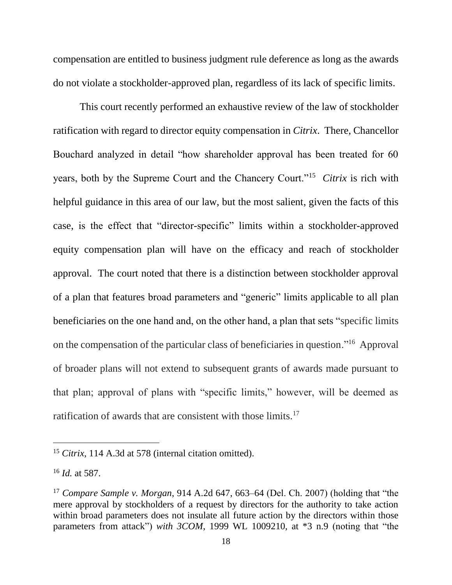compensation are entitled to business judgment rule deference as long as the awards do not violate a stockholder-approved plan, regardless of its lack of specific limits.

This court recently performed an exhaustive review of the law of stockholder ratification with regard to director equity compensation in *Citrix*. There, Chancellor Bouchard analyzed in detail "how shareholder approval has been treated for 60 years, both by the Supreme Court and the Chancery Court."<sup>15</sup> *Citrix* is rich with helpful guidance in this area of our law, but the most salient, given the facts of this case, is the effect that "director-specific" limits within a stockholder-approved equity compensation plan will have on the efficacy and reach of stockholder approval. The court noted that there is a distinction between stockholder approval of a plan that features broad parameters and "generic" limits applicable to all plan beneficiaries on the one hand and, on the other hand, a plan that sets "specific limits on the compensation of the particular class of beneficiaries in question."<sup>16</sup> Approval of broader plans will not extend to subsequent grants of awards made pursuant to that plan; approval of plans with "specific limits," however, will be deemed as ratification of awards that are consistent with those limits.<sup>17</sup>

<sup>&</sup>lt;sup>15</sup> *Citrix*, 114 A.3d at 578 (internal citation omitted).

<sup>16</sup> *Id.* at 587.

<sup>17</sup> *Compare Sample v. Morgan*, 914 A.2d 647, 663–64 (Del. Ch. 2007) (holding that "the mere approval by stockholders of a request by directors for the authority to take action within broad parameters does not insulate all future action by the directors within those parameters from attack") *with 3COM*, 1999 WL 1009210, at \*3 n.9 (noting that "the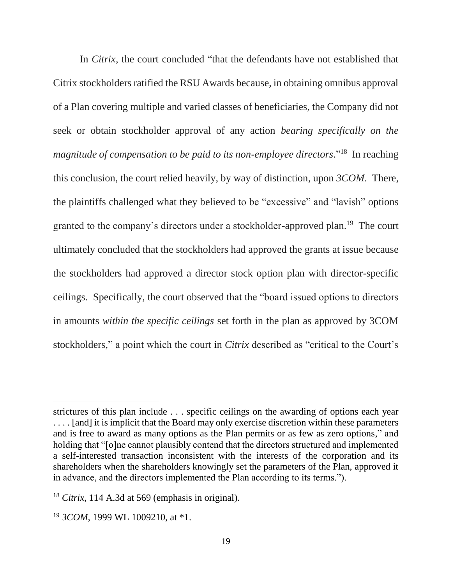In *Citrix*, the court concluded "that the defendants have not established that Citrix stockholders ratified the RSU Awards because, in obtaining omnibus approval of a Plan covering multiple and varied classes of beneficiaries, the Company did not seek or obtain stockholder approval of any action *bearing specifically on the*  magnitude of compensation to be paid to its non-employee directors."<sup>18</sup> In reaching this conclusion, the court relied heavily, by way of distinction, upon *3COM*.There, the plaintiffs challenged what they believed to be "excessive" and "lavish" options granted to the company's directors under a stockholder-approved plan.<sup>19</sup> The court ultimately concluded that the stockholders had approved the grants at issue because the stockholders had approved a director stock option plan with director-specific ceilings. Specifically, the court observed that the "board issued options to directors in amounts *within the specific ceilings* set forth in the plan as approved by 3COM stockholders," a point which the court in *Citrix* described as "critical to the Court's

strictures of this plan include . . . specific ceilings on the awarding of options each year .... [and] it is implicit that the Board may only exercise discretion within these parameters and is free to award as many options as the Plan permits or as few as zero options," and holding that "[o]ne cannot plausibly contend that the directors structured and implemented a self-interested transaction inconsistent with the interests of the corporation and its shareholders when the shareholders knowingly set the parameters of the Plan, approved it in advance, and the directors implemented the Plan according to its terms.").

<sup>18</sup> *Citrix*, 114 A.3d at 569 (emphasis in original).

<sup>19</sup> *3COM*, 1999 WL 1009210, at \*1.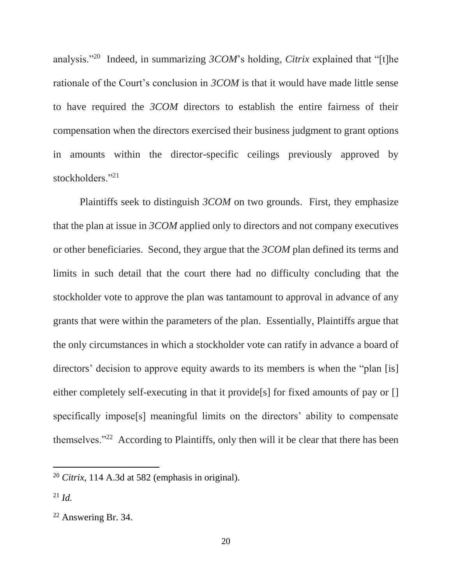analysis."<sup>20</sup> Indeed, in summarizing *3COM*'s holding, *Citrix* explained that "[t]he rationale of the Court's conclusion in *3COM* is that it would have made little sense to have required the *3COM* directors to establish the entire fairness of their compensation when the directors exercised their business judgment to grant options in amounts within the director-specific ceilings previously approved by stockholders."21

Plaintiffs seek to distinguish *3COM* on two grounds. First, they emphasize that the plan at issue in *3COM* applied only to directors and not company executives or other beneficiaries. Second, they argue that the *3COM* plan defined its terms and limits in such detail that the court there had no difficulty concluding that the stockholder vote to approve the plan was tantamount to approval in advance of any grants that were within the parameters of the plan. Essentially, Plaintiffs argue that the only circumstances in which a stockholder vote can ratify in advance a board of directors' decision to approve equity awards to its members is when the "plan [is] either completely self-executing in that it provide<sup>[s]</sup> for fixed amounts of pay or [] specifically impose[s] meaningful limits on the directors' ability to compensate themselves."<sup>22</sup> According to Plaintiffs, only then will it be clear that there has been

<sup>20</sup> *Citrix*, 114 A.3d at 582 (emphasis in original).

<sup>21</sup> *Id.*

<sup>22</sup> Answering Br. 34.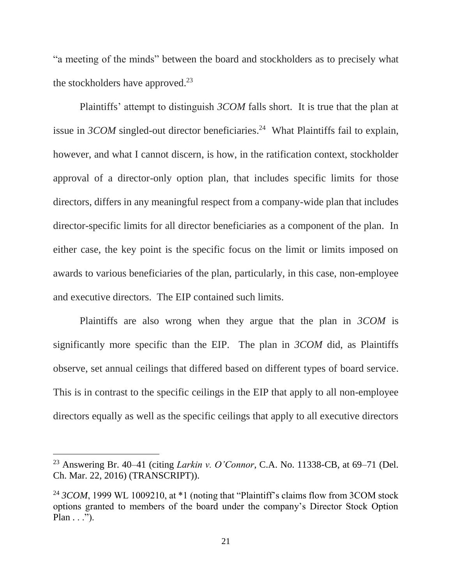"a meeting of the minds" between the board and stockholders as to precisely what the stockholders have approved.<sup>23</sup>

Plaintiffs' attempt to distinguish *3COM* falls short. It is true that the plan at issue in  $3COM$  singled-out director beneficiaries.<sup>24</sup> What Plaintiffs fail to explain, however, and what I cannot discern, is how, in the ratification context, stockholder approval of a director-only option plan, that includes specific limits for those directors, differs in any meaningful respect from a company-wide plan that includes director-specific limits for all director beneficiaries as a component of the plan. In either case, the key point is the specific focus on the limit or limits imposed on awards to various beneficiaries of the plan, particularly, in this case, non-employee and executive directors. The EIP contained such limits.

Plaintiffs are also wrong when they argue that the plan in *3COM* is significantly more specific than the EIP. The plan in *3COM* did, as Plaintiffs observe, set annual ceilings that differed based on different types of board service. This is in contrast to the specific ceilings in the EIP that apply to all non-employee directors equally as well as the specific ceilings that apply to all executive directors

<sup>23</sup> Answering Br. 40–41 (citing *Larkin v. O'Connor*, C.A. No. 11338-CB, at 69–71 (Del. Ch. Mar. 22, 2016) (TRANSCRIPT)).

<sup>&</sup>lt;sup>24</sup> *3COM*, 1999 WL 1009210, at \*1 (noting that "Plaintiff's claims flow from 3COM stock options granted to members of the board under the company's Director Stock Option Plan  $\ldots$ ").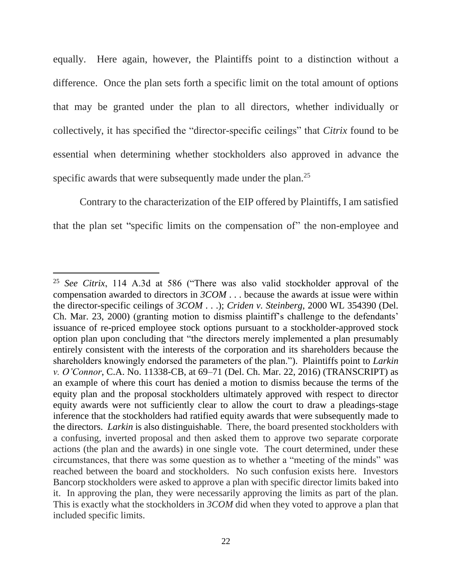equally. Here again, however, the Plaintiffs point to a distinction without a difference. Once the plan sets forth a specific limit on the total amount of options that may be granted under the plan to all directors, whether individually or collectively, it has specified the "director-specific ceilings" that *Citrix* found to be essential when determining whether stockholders also approved in advance the specific awards that were subsequently made under the plan.<sup>25</sup>

Contrary to the characterization of the EIP offered by Plaintiffs, I am satisfied that the plan set "specific limits on the compensation of" the non-employee and

<sup>25</sup> *See Citrix*, 114 A.3d at 586 ("There was also valid stockholder approval of the compensation awarded to directors in *3COM* . . . because the awards at issue were within the director-specific ceilings of *3COM* . . .); *Criden v. Steinberg*, 2000 WL 354390 (Del. Ch. Mar. 23, 2000) (granting motion to dismiss plaintiff's challenge to the defendants' issuance of re-priced employee stock options pursuant to a stockholder-approved stock option plan upon concluding that "the directors merely implemented a plan presumably entirely consistent with the interests of the corporation and its shareholders because the shareholders knowingly endorsed the parameters of the plan."). Plaintiffs point to *Larkin v. O'Connor*, C.A. No. 11338-CB, at 69–71 (Del. Ch. Mar. 22, 2016) (TRANSCRIPT) as an example of where this court has denied a motion to dismiss because the terms of the equity plan and the proposal stockholders ultimately approved with respect to director equity awards were not sufficiently clear to allow the court to draw a pleadings-stage inference that the stockholders had ratified equity awards that were subsequently made to the directors. *Larkin* is also distinguishable. There, the board presented stockholders with a confusing, inverted proposal and then asked them to approve two separate corporate actions (the plan and the awards) in one single vote. The court determined, under these circumstances, that there was some question as to whether a "meeting of the minds" was reached between the board and stockholders. No such confusion exists here. Investors Bancorp stockholders were asked to approve a plan with specific director limits baked into it. In approving the plan, they were necessarily approving the limits as part of the plan. This is exactly what the stockholders in *3COM* did when they voted to approve a plan that included specific limits.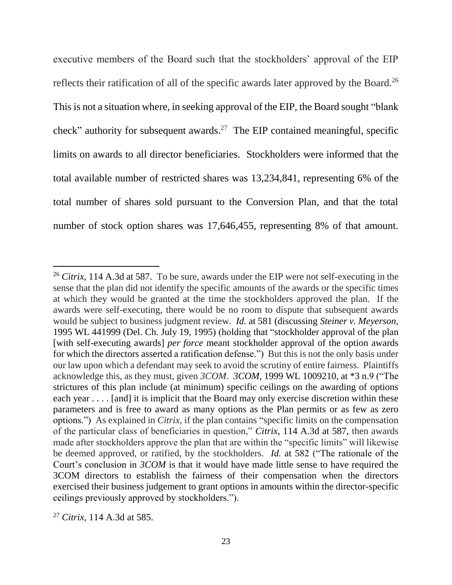executive members of the Board such that the stockholders' approval of the EIP reflects their ratification of all of the specific awards later approved by the Board.<sup>26</sup> This is not a situation where, in seeking approval of the EIP, the Board sought "blank check" authority for subsequent awards.<sup>27</sup> The EIP contained meaningful, specific limits on awards to all director beneficiaries. Stockholders were informed that the total available number of restricted shares was 13,234,841, representing 6% of the total number of shares sold pursuant to the Conversion Plan, and that the total number of stock option shares was 17,646,455, representing 8% of that amount.

<sup>&</sup>lt;sup>26</sup> *Citrix*, 114 A.3d at 587. To be sure, awards under the EIP were not self-executing in the sense that the plan did not identify the specific amounts of the awards or the specific times at which they would be granted at the time the stockholders approved the plan. If the awards were self-executing, there would be no room to dispute that subsequent awards would be subject to business judgment review. *Id.* at 581 (discussing *Steiner v. Meyerson*, 1995 WL 441999 (Del. Ch. July 19, 1995) (holding that "stockholder approval of the plan [with self-executing awards] *per force* meant stockholder approval of the option awards for which the directors asserted a ratification defense.") But this is not the only basis under our law upon which a defendant may seek to avoid the scrutiny of entire fairness. Plaintiffs acknowledge this, as they must, given *3COM*. *3COM*, 1999 WL 1009210, at \*3 n.9 ("The strictures of this plan include (at minimum) specific ceilings on the awarding of options each year . . . . [and] it is implicit that the Board may only exercise discretion within these parameters and is free to award as many options as the Plan permits or as few as zero options.") As explained in *Citrix*, if the plan contains "specific limits on the compensation of the particular class of beneficiaries in question," *Citrix*, 114 A.3d at 587, then awards made after stockholders approve the plan that are within the "specific limits" will likewise be deemed approved, or ratified, by the stockholders. *Id.* at 582 ("The rationale of the Court's conclusion in *3COM* is that it would have made little sense to have required the 3COM directors to establish the fairness of their compensation when the directors exercised their business judgement to grant options in amounts within the director-specific ceilings previously approved by stockholders.").

<sup>27</sup> *Citrix*, 114 A.3d at 585.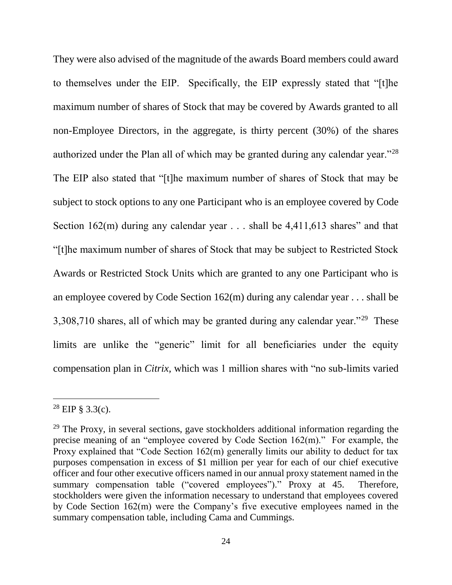They were also advised of the magnitude of the awards Board members could award to themselves under the EIP. Specifically, the EIP expressly stated that "[t]he maximum number of shares of Stock that may be covered by Awards granted to all non-Employee Directors, in the aggregate, is thirty percent (30%) of the shares authorized under the Plan all of which may be granted during any calendar year."<sup>28</sup> The EIP also stated that "[t]he maximum number of shares of Stock that may be subject to stock options to any one Participant who is an employee covered by Code Section 162(m) during any calendar year . . . shall be 4,411,613 shares" and that "[t]he maximum number of shares of Stock that may be subject to Restricted Stock Awards or Restricted Stock Units which are granted to any one Participant who is an employee covered by Code Section 162(m) during any calendar year . . . shall be 3,308,710 shares, all of which may be granted during any calendar year."<sup>29</sup> These limits are unlike the "generic" limit for all beneficiaries under the equity compensation plan in *Citrix,* which was 1 million shares with "no sub-limits varied

 $^{28}$  EIP  $\frac{3.3(c)}{c}$ .

 $29$  The Proxy, in several sections, gave stockholders additional information regarding the precise meaning of an "employee covered by Code Section 162(m)." For example, the Proxy explained that "Code Section 162(m) generally limits our ability to deduct for tax purposes compensation in excess of \$1 million per year for each of our chief executive officer and four other executive officers named in our annual proxy statement named in the summary compensation table ("covered employees")." Proxy at 45. Therefore, stockholders were given the information necessary to understand that employees covered by Code Section 162(m) were the Company's five executive employees named in the summary compensation table, including Cama and Cummings.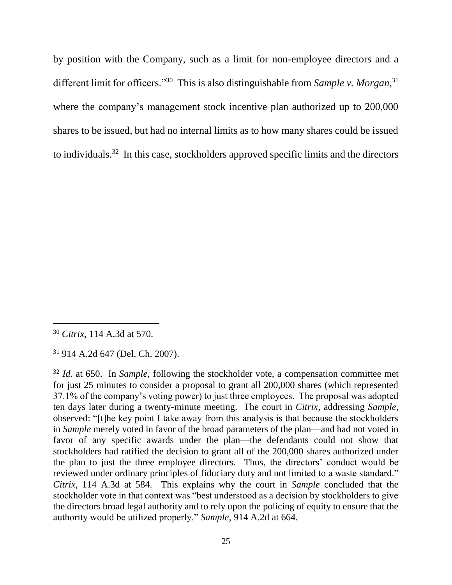by position with the Company, such as a limit for non-employee directors and a different limit for officers."<sup>30</sup> This is also distinguishable from *Sample v. Morgan*,<sup>31</sup> where the company's management stock incentive plan authorized up to 200,000 shares to be issued, but had no internal limits as to how many shares could be issued to individuals.<sup>32</sup> In this case, stockholders approved specific limits and the directors

<sup>30</sup> *Citrix*, 114 A.3d at 570.

<sup>31</sup> 914 A.2d 647 (Del. Ch. 2007).

<sup>32</sup> *Id.* at 650. In *Sample,* following the stockholder vote, a compensation committee met for just 25 minutes to consider a proposal to grant all 200,000 shares (which represented 37.1% of the company's voting power) to just three employees. The proposal was adopted ten days later during a twenty-minute meeting. The court in *Citrix,* addressing *Sample*, observed: "[t]he key point I take away from this analysis is that because the stockholders in *Sample* merely voted in favor of the broad parameters of the plan—and had not voted in favor of any specific awards under the plan—the defendants could not show that stockholders had ratified the decision to grant all of the 200,000 shares authorized under the plan to just the three employee directors. Thus, the directors' conduct would be reviewed under ordinary principles of fiduciary duty and not limited to a waste standard." *Citrix*, 114 A.3d at 584. This explains why the court in *Sample* concluded that the stockholder vote in that context was "best understood as a decision by stockholders to give the directors broad legal authority and to rely upon the policing of equity to ensure that the authority would be utilized properly." *Sample*, 914 A.2d at 664.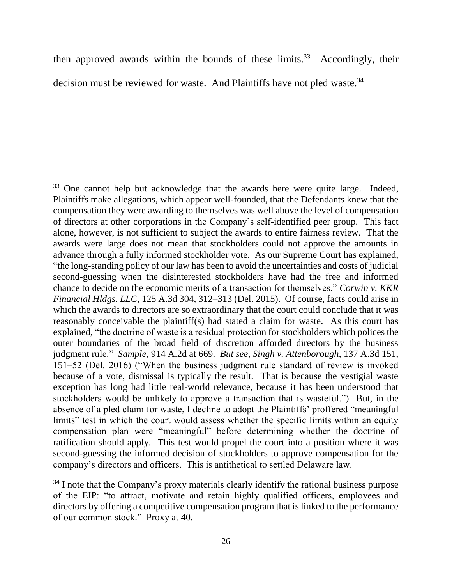then approved awards within the bounds of these limits. 33 Accordingly, their decision must be reviewed for waste. And Plaintiffs have not pled waste.<sup>34</sup>

<sup>&</sup>lt;sup>33</sup> One cannot help but acknowledge that the awards here were quite large. Indeed, Plaintiffs make allegations, which appear well-founded, that the Defendants knew that the compensation they were awarding to themselves was well above the level of compensation of directors at other corporations in the Company's self-identified peer group. This fact alone, however, is not sufficient to subject the awards to entire fairness review. That the awards were large does not mean that stockholders could not approve the amounts in advance through a fully informed stockholder vote. As our Supreme Court has explained, "the long-standing policy of our law has been to avoid the uncertainties and costs of judicial second-guessing when the disinterested stockholders have had the free and informed chance to decide on the economic merits of a transaction for themselves." *Corwin v. KKR Financial Hldgs. LLC*, 125 A.3d 304, 312–313 (Del. 2015). Of course, facts could arise in which the awards to directors are so extraordinary that the court could conclude that it was reasonably conceivable the plaintiff(s) had stated a claim for waste. As this court has explained, "the doctrine of waste is a residual protection for stockholders which polices the outer boundaries of the broad field of discretion afforded directors by the business judgment rule." *Sample*, 914 A.2d at 669. *But see*, *Singh v. Attenborough*, 137 A.3d 151, 151–52 (Del. 2016) ("When the business judgment rule standard of review is invoked because of a vote, dismissal is typically the result. That is because the vestigial waste exception has long had little real-world relevance, because it has been understood that stockholders would be unlikely to approve a transaction that is wasteful.") But, in the absence of a pled claim for waste, I decline to adopt the Plaintiffs' proffered "meaningful limits" test in which the court would assess whether the specific limits within an equity compensation plan were "meaningful" before determining whether the doctrine of ratification should apply. This test would propel the court into a position where it was second-guessing the informed decision of stockholders to approve compensation for the company's directors and officers. This is antithetical to settled Delaware law.

<sup>&</sup>lt;sup>34</sup> I note that the Company's proxy materials clearly identify the rational business purpose of the EIP: "to attract, motivate and retain highly qualified officers, employees and directors by offering a competitive compensation program that is linked to the performance of our common stock." Proxy at 40.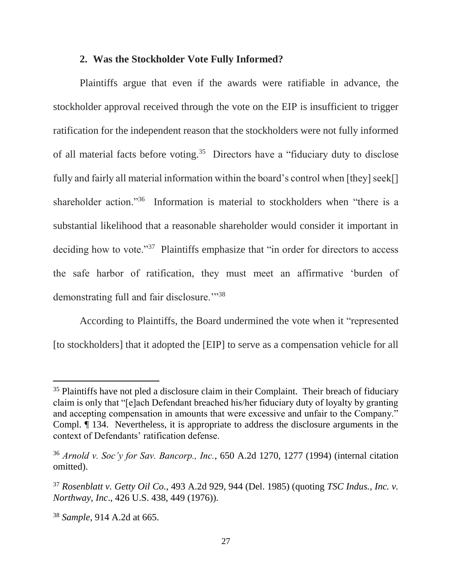#### **2. Was the Stockholder Vote Fully Informed?**

Plaintiffs argue that even if the awards were ratifiable in advance, the stockholder approval received through the vote on the EIP is insufficient to trigger ratification for the independent reason that the stockholders were not fully informed of all material facts before voting.<sup>35</sup> Directors have a "fiduciary duty to disclose fully and fairly all material information within the board's control when [they] seek[] shareholder action."<sup>36</sup> Information is material to stockholders when "there is a substantial likelihood that a reasonable shareholder would consider it important in deciding how to vote."<sup>37</sup> Plaintiffs emphasize that "in order for directors to access the safe harbor of ratification, they must meet an affirmative 'burden of demonstrating full and fair disclosure."<sup>38</sup>

According to Plaintiffs, the Board undermined the vote when it "represented [to stockholders] that it adopted the [EIP] to serve as a compensation vehicle for all

 $35$  Plaintiffs have not pled a disclosure claim in their Complaint. Their breach of fiduciary claim is only that "[e]ach Defendant breached his/her fiduciary duty of loyalty by granting and accepting compensation in amounts that were excessive and unfair to the Company." Compl. ¶ 134. Nevertheless, it is appropriate to address the disclosure arguments in the context of Defendants' ratification defense.

<sup>36</sup> *Arnold v. Soc'y for Sav. Bancorp., Inc.*, 650 A.2d 1270, 1277 (1994) (internal citation omitted).

<sup>37</sup> *Rosenblatt v. Getty Oil Co.*, 493 A.2d 929, 944 (Del. 1985) (quoting *TSC Indus., Inc. v. Northway, Inc*., 426 U.S. 438, 449 (1976)).

<sup>38</sup> *Sample*, 914 A.2d at 665.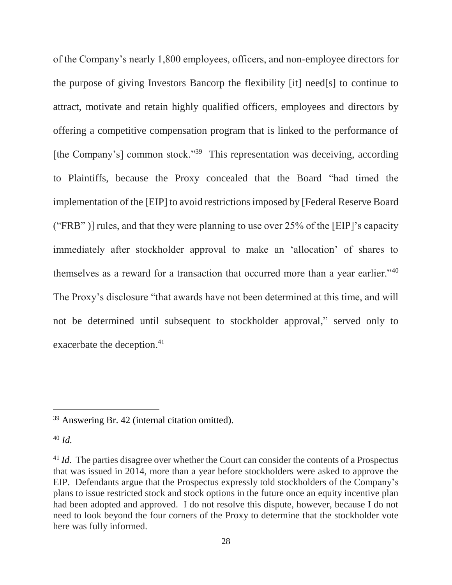of the Company's nearly 1,800 employees, officers, and non-employee directors for the purpose of giving Investors Bancorp the flexibility [it] need[s] to continue to attract, motivate and retain highly qualified officers, employees and directors by offering a competitive compensation program that is linked to the performance of [the Company's] common stock."<sup>39</sup> This representation was deceiving, according to Plaintiffs, because the Proxy concealed that the Board "had timed the implementation of the [EIP] to avoid restrictions imposed by [Federal Reserve Board ("FRB" )] rules, and that they were planning to use over 25% of the [EIP]'s capacity immediately after stockholder approval to make an 'allocation' of shares to themselves as a reward for a transaction that occurred more than a year earlier."<sup>40</sup> The Proxy's disclosure "that awards have not been determined at this time, and will not be determined until subsequent to stockholder approval," served only to exacerbate the deception.<sup>41</sup>

<sup>39</sup> Answering Br. 42 (internal citation omitted).

<sup>40</sup> *Id.* 

<sup>&</sup>lt;sup>41</sup> *Id.* The parties disagree over whether the Court can consider the contents of a Prospectus that was issued in 2014, more than a year before stockholders were asked to approve the EIP. Defendants argue that the Prospectus expressly told stockholders of the Company's plans to issue restricted stock and stock options in the future once an equity incentive plan had been adopted and approved. I do not resolve this dispute, however, because I do not need to look beyond the four corners of the Proxy to determine that the stockholder vote here was fully informed.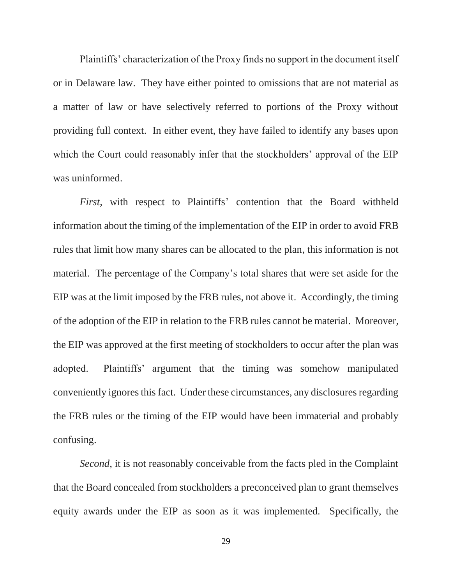Plaintiffs' characterization of the Proxy finds no support in the document itself or in Delaware law. They have either pointed to omissions that are not material as a matter of law or have selectively referred to portions of the Proxy without providing full context. In either event, they have failed to identify any bases upon which the Court could reasonably infer that the stockholders' approval of the EIP was uninformed.

*First*, with respect to Plaintiffs' contention that the Board withheld information about the timing of the implementation of the EIP in order to avoid FRB rules that limit how many shares can be allocated to the plan, this information is not material. The percentage of the Company's total shares that were set aside for the EIP was at the limit imposed by the FRB rules, not above it. Accordingly, the timing of the adoption of the EIP in relation to the FRB rules cannot be material. Moreover, the EIP was approved at the first meeting of stockholders to occur after the plan was adopted. Plaintiffs' argument that the timing was somehow manipulated conveniently ignores this fact. Under these circumstances, any disclosures regarding the FRB rules or the timing of the EIP would have been immaterial and probably confusing.

*Second*, it is not reasonably conceivable from the facts pled in the Complaint that the Board concealed from stockholders a preconceived plan to grant themselves equity awards under the EIP as soon as it was implemented. Specifically, the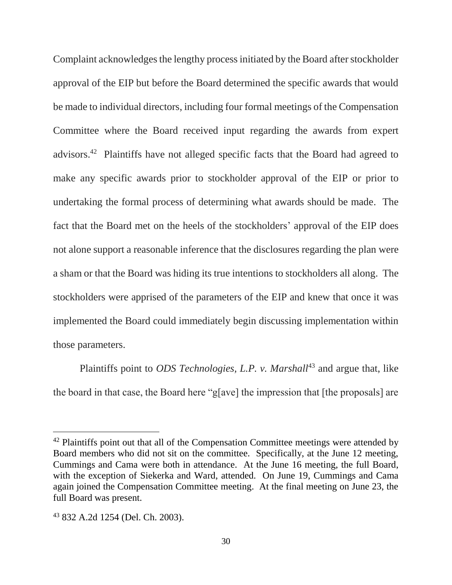Complaint acknowledges the lengthy process initiated by the Board after stockholder approval of the EIP but before the Board determined the specific awards that would be made to individual directors, including four formal meetings of the Compensation Committee where the Board received input regarding the awards from expert advisors.<sup>42</sup> Plaintiffs have not alleged specific facts that the Board had agreed to make any specific awards prior to stockholder approval of the EIP or prior to undertaking the formal process of determining what awards should be made. The fact that the Board met on the heels of the stockholders' approval of the EIP does not alone support a reasonable inference that the disclosures regarding the plan were a sham or that the Board was hiding its true intentions to stockholders all along. The stockholders were apprised of the parameters of the EIP and knew that once it was implemented the Board could immediately begin discussing implementation within those parameters.

Plaintiffs point to *ODS Technologies, L.P. v. Marshall*<sup>43</sup> and argue that, like the board in that case, the Board here "g[ave] the impression that [the proposals] are

<sup>&</sup>lt;sup>42</sup> Plaintiffs point out that all of the Compensation Committee meetings were attended by Board members who did not sit on the committee. Specifically, at the June 12 meeting, Cummings and Cama were both in attendance. At the June 16 meeting, the full Board, with the exception of Siekerka and Ward, attended. On June 19, Cummings and Cama again joined the Compensation Committee meeting. At the final meeting on June 23, the full Board was present.

<sup>43</sup> 832 A.2d 1254 (Del. Ch. 2003).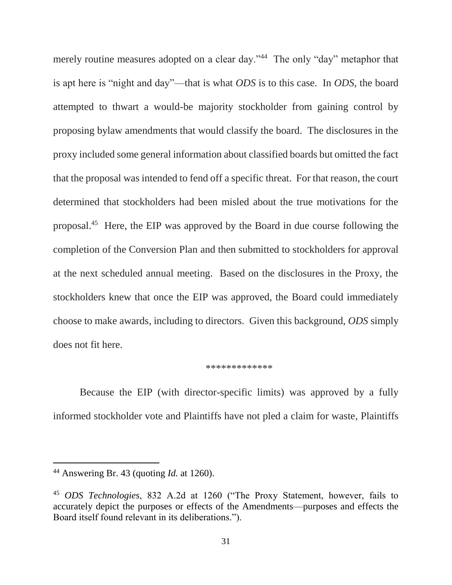merely routine measures adopted on a clear day."<sup>44</sup> The only "day" metaphor that is apt here is "night and day"—that is what *ODS* is to this case. In *ODS*, the board attempted to thwart a would-be majority stockholder from gaining control by proposing bylaw amendments that would classify the board. The disclosures in the proxy included some general information about classified boards but omitted the fact that the proposal was intended to fend off a specific threat. For that reason, the court determined that stockholders had been misled about the true motivations for the proposal.<sup>45</sup> Here, the EIP was approved by the Board in due course following the completion of the Conversion Plan and then submitted to stockholders for approval at the next scheduled annual meeting. Based on the disclosures in the Proxy, the stockholders knew that once the EIP was approved, the Board could immediately choose to make awards, including to directors. Given this background, *ODS* simply does not fit here.

#### \*\*\*\*\*\*\*\*\*\*\*\*\*

Because the EIP (with director-specific limits) was approved by a fully informed stockholder vote and Plaintiffs have not pled a claim for waste, Plaintiffs

<sup>44</sup> Answering Br. 43 (quoting *Id.* at 1260).

<sup>45</sup> *ODS Technologies*, 832 A.2d at 1260 ("The Proxy Statement, however, fails to accurately depict the purposes or effects of the Amendments—purposes and effects the Board itself found relevant in its deliberations.").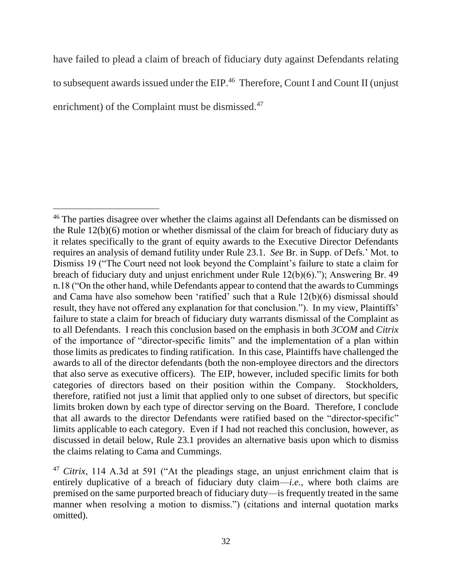have failed to plead a claim of breach of fiduciary duty against Defendants relating to subsequent awards issued under the EIP.<sup>46</sup> Therefore, Count I and Count II (unjust enrichment) of the Complaint must be dismissed.<sup>47</sup>

<sup>&</sup>lt;sup>46</sup> The parties disagree over whether the claims against all Defendants can be dismissed on the Rule 12(b)(6) motion or whether dismissal of the claim for breach of fiduciary duty as it relates specifically to the grant of equity awards to the Executive Director Defendants requires an analysis of demand futility under Rule 23.1. *See* Br. in Supp. of Defs.' Mot. to Dismiss 19 ("The Court need not look beyond the Complaint's failure to state a claim for breach of fiduciary duty and unjust enrichment under Rule 12(b)(6)."); Answering Br. 49 n.18 ("On the other hand, while Defendants appear to contend that the awards to Cummings and Cama have also somehow been 'ratified' such that a Rule 12(b)(6) dismissal should result, they have not offered any explanation for that conclusion."). In my view, Plaintiffs' failure to state a claim for breach of fiduciary duty warrants dismissal of the Complaint as to all Defendants. I reach this conclusion based on the emphasis in both *3COM* and *Citrix* of the importance of "director-specific limits" and the implementation of a plan within those limits as predicates to finding ratification. In this case, Plaintiffs have challenged the awards to all of the director defendants (both the non-employee directors and the directors that also serve as executive officers). The EIP, however, included specific limits for both categories of directors based on their position within the Company. Stockholders, therefore, ratified not just a limit that applied only to one subset of directors, but specific limits broken down by each type of director serving on the Board. Therefore, I conclude that all awards to the director Defendants were ratified based on the "director-specific" limits applicable to each category. Even if I had not reached this conclusion, however, as discussed in detail below, Rule 23.1 provides an alternative basis upon which to dismiss the claims relating to Cama and Cummings.

<sup>47</sup> *Citrix*, 114 A.3d at 591 ("At the pleadings stage, an unjust enrichment claim that is entirely duplicative of a breach of fiduciary duty claim—*i.e.*, where both claims are premised on the same purported breach of fiduciary duty—is frequently treated in the same manner when resolving a motion to dismiss.") (citations and internal quotation marks omitted).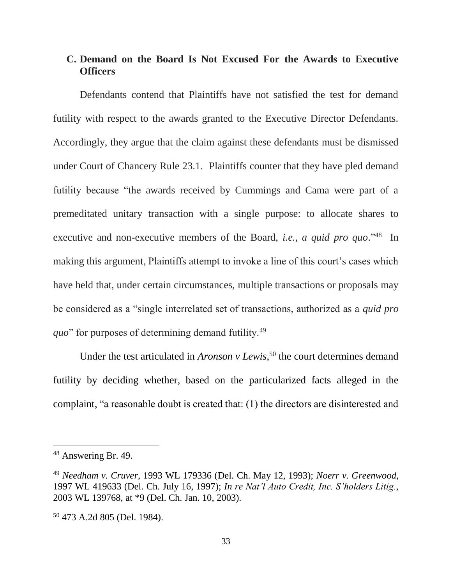## **C. Demand on the Board Is Not Excused For the Awards to Executive Officers**

Defendants contend that Plaintiffs have not satisfied the test for demand futility with respect to the awards granted to the Executive Director Defendants. Accordingly, they argue that the claim against these defendants must be dismissed under Court of Chancery Rule 23.1. Plaintiffs counter that they have pled demand futility because "the awards received by Cummings and Cama were part of a premeditated unitary transaction with a single purpose: to allocate shares to executive and non-executive members of the Board, *i.e.*, *a quid pro quo*.<sup>"48</sup> In making this argument, Plaintiffs attempt to invoke a line of this court's cases which have held that, under certain circumstances, multiple transactions or proposals may be considered as a "single interrelated set of transactions, authorized as a *quid pro quo*" for purposes of determining demand futility.<sup>49</sup>

Under the test articulated in *Aronson v Lewis*, <sup>50</sup> the court determines demand futility by deciding whether, based on the particularized facts alleged in the complaint, "a reasonable doubt is created that: (1) the directors are disinterested and

<sup>48</sup> Answering Br. 49.

<sup>49</sup> *Needham v. Cruver*, 1993 WL 179336 (Del. Ch. May 12, 1993); *Noerr v. Greenwood*, 1997 WL 419633 (Del. Ch. July 16, 1997); *In re Nat'l Auto Credit, Inc. S'holders Litig.*, 2003 WL 139768, at \*9 (Del. Ch. Jan. 10, 2003).

<sup>50</sup> 473 A.2d 805 (Del. 1984).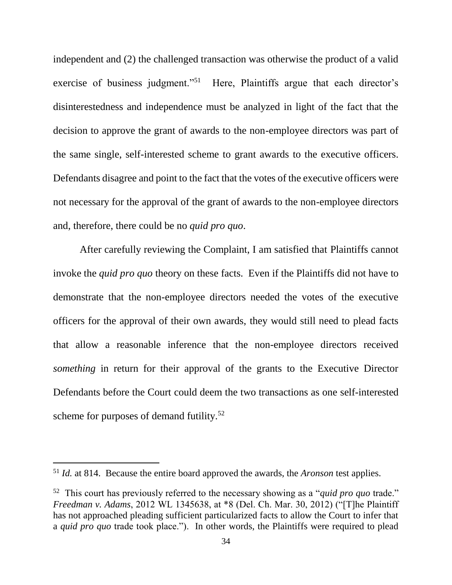independent and (2) the challenged transaction was otherwise the product of a valid exercise of business judgment."<sup>51</sup> Here, Plaintiffs argue that each director's disinterestedness and independence must be analyzed in light of the fact that the decision to approve the grant of awards to the non-employee directors was part of the same single, self-interested scheme to grant awards to the executive officers. Defendants disagree and point to the fact that the votes of the executive officers were not necessary for the approval of the grant of awards to the non-employee directors and, therefore, there could be no *quid pro quo*.

After carefully reviewing the Complaint, I am satisfied that Plaintiffs cannot invoke the *quid pro quo* theory on these facts. Even if the Plaintiffs did not have to demonstrate that the non-employee directors needed the votes of the executive officers for the approval of their own awards, they would still need to plead facts that allow a reasonable inference that the non-employee directors received *something* in return for their approval of the grants to the Executive Director Defendants before the Court could deem the two transactions as one self-interested scheme for purposes of demand futility.<sup>52</sup>

<sup>51</sup> *Id.* at 814. Because the entire board approved the awards, the *Aronson* test applies.

<sup>52</sup> This court has previously referred to the necessary showing as a "*quid pro quo* trade." *Freedman v. Adams*, 2012 WL 1345638, at \*8 (Del. Ch. Mar. 30, 2012) ("[T]he Plaintiff has not approached pleading sufficient particularized facts to allow the Court to infer that a *quid pro quo* trade took place."). In other words, the Plaintiffs were required to plead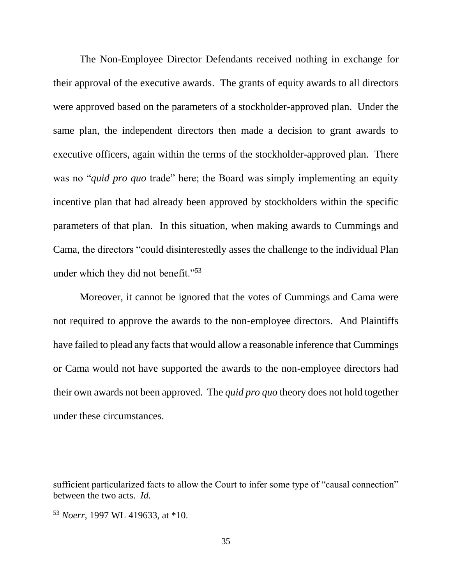The Non-Employee Director Defendants received nothing in exchange for their approval of the executive awards. The grants of equity awards to all directors were approved based on the parameters of a stockholder-approved plan. Under the same plan, the independent directors then made a decision to grant awards to executive officers, again within the terms of the stockholder-approved plan. There was no "*quid pro quo* trade" here; the Board was simply implementing an equity incentive plan that had already been approved by stockholders within the specific parameters of that plan. In this situation, when making awards to Cummings and Cama, the directors "could disinterestedly asses the challenge to the individual Plan under which they did not benefit."<sup>53</sup>

Moreover, it cannot be ignored that the votes of Cummings and Cama were not required to approve the awards to the non-employee directors. And Plaintiffs have failed to plead any facts that would allow a reasonable inference that Cummings or Cama would not have supported the awards to the non-employee directors had their own awards not been approved. The *quid pro quo* theory does not hold together under these circumstances.

sufficient particularized facts to allow the Court to infer some type of "causal connection" between the two acts. *Id.*

<sup>53</sup> *Noerr*, 1997 WL 419633, at \*10.